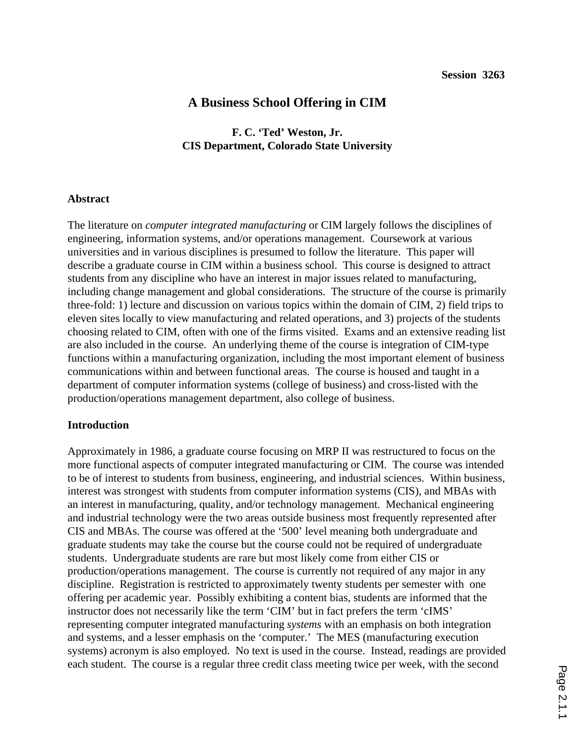# **A Business School Offering in CIM**

## **F. C. 'Ted' Weston, Jr. CIS Department, Colorado State University**

#### **Abstract**

The literature on *computer integrated manufacturing* or CIM largely follows the disciplines of engineering, information systems, and/or operations management. Coursework at various universities and in various disciplines is presumed to follow the literature. This paper will describe a graduate course in CIM within a business school. This course is designed to attract students from any discipline who have an interest in major issues related to manufacturing, including change management and global considerations. The structure of the course is primarily three-fold: 1) lecture and discussion on various topics within the domain of CIM, 2) field trips to eleven sites locally to view manufacturing and related operations, and 3) projects of the students choosing related to CIM, often with one of the firms visited. Exams and an extensive reading list are also included in the course. An underlying theme of the course is integration of CIM-type functions within a manufacturing organization, including the most important element of business communications within and between functional areas. The course is housed and taught in a department of computer information systems (college of business) and cross-listed with the production/operations management department, also college of business.

#### **Introduction**

Approximately in 1986, a graduate course focusing on MRP II was restructured to focus on the more functional aspects of computer integrated manufacturing or CIM. The course was intended to be of interest to students from business, engineering, and industrial sciences. Within business, interest was strongest with students from computer information systems (CIS), and MBAs with an interest in manufacturing, quality, and/or technology management. Mechanical engineering and industrial technology were the two areas outside business most frequently represented after CIS and MBAs. The course was offered at the '500' level meaning both undergraduate and graduate students may take the course but the course could not be required of undergraduate students. Undergraduate students are rare but most likely come from either CIS or production/operations management. The course is currently not required of any major in any discipline. Registration is restricted to approximately twenty students per semester with one offering per academic year. Possibly exhibiting a content bias, students are informed that the instructor does not necessarily like the term 'CIM' but in fact prefers the term 'cIMS' representing computer integrated manufacturing *systems* with an emphasis on both integration and systems, and a lesser emphasis on the 'computer.' The MES (manufacturing execution systems) acronym is also employed. No text is used in the course. Instead, readings are provided each student. The course is a regular three credit class meeting twice per week, with the second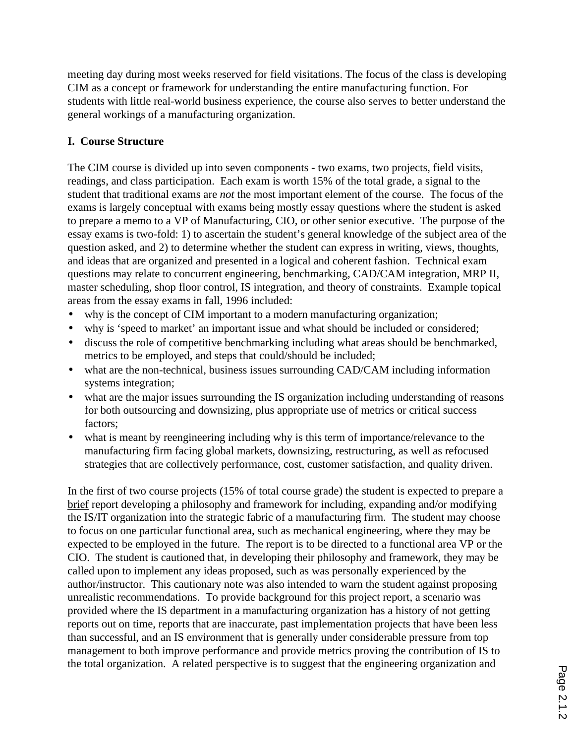meeting day during most weeks reserved for field visitations. The focus of the class is developing CIM as a concept or framework for understanding the entire manufacturing function. For students with little real-world business experience, the course also serves to better understand the general workings of a manufacturing organization.

## **I. Course Structure**

The CIM course is divided up into seven components - two exams, two projects, field visits, readings, and class participation. Each exam is worth 15% of the total grade, a signal to the student that traditional exams are *not* the most important element of the course. The focus of the exams is largely conceptual with exams being mostly essay questions where the student is asked to prepare a memo to a VP of Manufacturing, CIO, or other senior executive. The purpose of the essay exams is two-fold: 1) to ascertain the student's general knowledge of the subject area of the question asked, and 2) to determine whether the student can express in writing, views, thoughts, and ideas that are organized and presented in a logical and coherent fashion. Technical exam questions may relate to concurrent engineering, benchmarking, CAD/CAM integration, MRP II, master scheduling, shop floor control, IS integration, and theory of constraints. Example topical areas from the essay exams in fall, 1996 included:

- why is the concept of CIM important to a modern manufacturing organization;
- why is 'speed to market' an important issue and what should be included or considered;
- discuss the role of competitive benchmarking including what areas should be benchmarked, metrics to be employed, and steps that could/should be included;
- what are the non-technical, business issues surrounding CAD/CAM including information systems integration;
- what are the major issues surrounding the IS organization including understanding of reasons for both outsourcing and downsizing, plus appropriate use of metrics or critical success factors;
- what is meant by reengineering including why is this term of importance/relevance to the manufacturing firm facing global markets, downsizing, restructuring, as well as refocused strategies that are collectively performance, cost, customer satisfaction, and quality driven.

In the first of two course projects (15% of total course grade) the student is expected to prepare a brief report developing a philosophy and framework for including, expanding and/or modifying the IS/IT organization into the strategic fabric of a manufacturing firm. The student may choose to focus on one particular functional area, such as mechanical engineering, where they may be expected to be employed in the future. The report is to be directed to a functional area VP or the CIO. The student is cautioned that, in developing their philosophy and framework, they may be called upon to implement any ideas proposed, such as was personally experienced by the author/instructor. This cautionary note was also intended to warn the student against proposing unrealistic recommendations. To provide background for this project report, a scenario was provided where the IS department in a manufacturing organization has a history of not getting reports out on time, reports that are inaccurate, past implementation projects that have been less than successful, and an IS environment that is generally under considerable pressure from top management to both improve performance and provide metrics proving the contribution of IS to the total organization. A related perspective is to suggest that the engineering organization and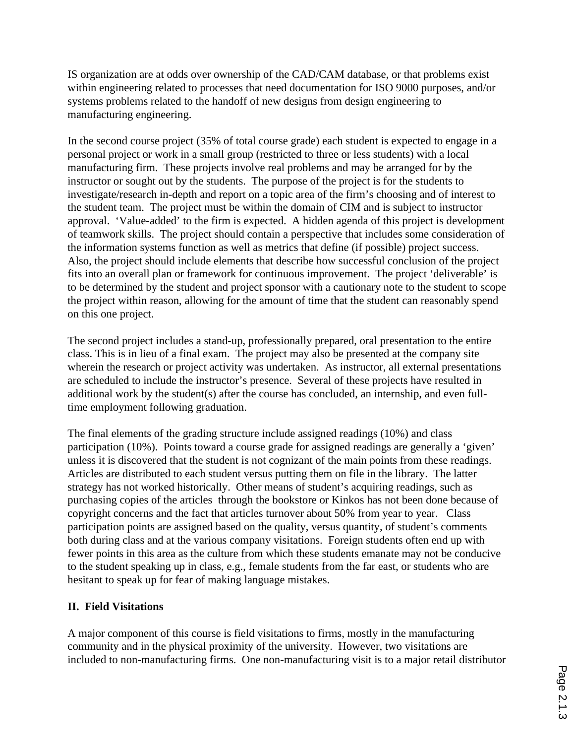IS organization are at odds over ownership of the CAD/CAM database, or that problems exist within engineering related to processes that need documentation for ISO 9000 purposes, and/or systems problems related to the handoff of new designs from design engineering to manufacturing engineering.

In the second course project (35% of total course grade) each student is expected to engage in a personal project or work in a small group (restricted to three or less students) with a local manufacturing firm. These projects involve real problems and may be arranged for by the instructor or sought out by the students. The purpose of the project is for the students to investigate/research in-depth and report on a topic area of the firm's choosing and of interest to the student team. The project must be within the domain of CIM and is subject to instructor approval. 'Value-added' to the firm is expected. A hidden agenda of this project is development of teamwork skills. The project should contain a perspective that includes some consideration of the information systems function as well as metrics that define (if possible) project success. Also, the project should include elements that describe how successful conclusion of the project fits into an overall plan or framework for continuous improvement. The project 'deliverable' is to be determined by the student and project sponsor with a cautionary note to the student to scope the project within reason, allowing for the amount of time that the student can reasonably spend on this one project.

The second project includes a stand-up, professionally prepared, oral presentation to the entire class. This is in lieu of a final exam. The project may also be presented at the company site wherein the research or project activity was undertaken. As instructor, all external presentations are scheduled to include the instructor's presence. Several of these projects have resulted in additional work by the student(s) after the course has concluded, an internship, and even fulltime employment following graduation.

The final elements of the grading structure include assigned readings (10%) and class participation (10%). Points toward a course grade for assigned readings are generally a 'given' unless it is discovered that the student is not cognizant of the main points from these readings. Articles are distributed to each student versus putting them on file in the library. The latter strategy has not worked historically. Other means of student's acquiring readings, such as purchasing copies of the articles through the bookstore or Kinkos has not been done because of copyright concerns and the fact that articles turnover about 50% from year to year. Class participation points are assigned based on the quality, versus quantity, of student's comments both during class and at the various company visitations. Foreign students often end up with fewer points in this area as the culture from which these students emanate may not be conducive to the student speaking up in class, e.g., female students from the far east, or students who are hesitant to speak up for fear of making language mistakes.

## **II. Field Visitations**

A major component of this course is field visitations to firms, mostly in the manufacturing community and in the physical proximity of the university. However, two visitations are included to non-manufacturing firms. One non-manufacturing visit is to a major retail distributor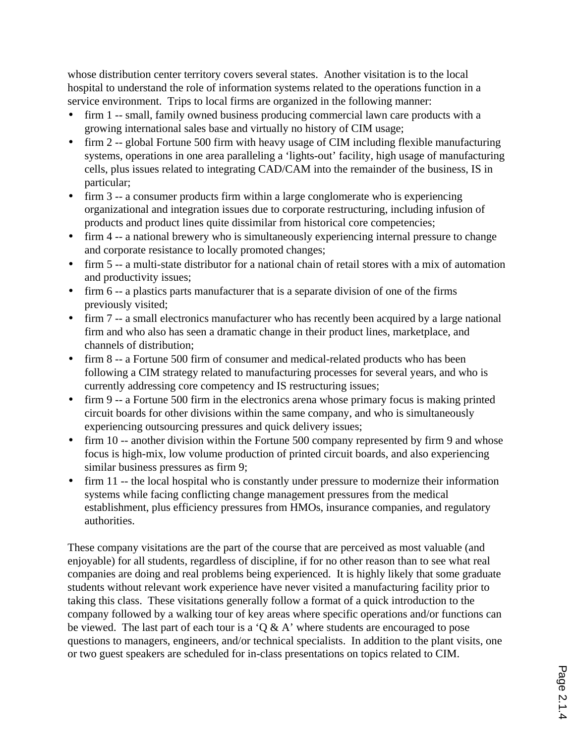whose distribution center territory covers several states. Another visitation is to the local hospital to understand the role of information systems related to the operations function in a service environment. Trips to local firms are organized in the following manner:

- firm 1 -- small, family owned business producing commercial lawn care products with a growing international sales base and virtually no history of CIM usage;
- firm 2 -- global Fortune 500 firm with heavy usage of CIM including flexible manufacturing systems, operations in one area paralleling a 'lights-out' facility, high usage of manufacturing cells, plus issues related to integrating CAD/CAM into the remainder of the business, IS in particular;
- firm 3 -- a consumer products firm within a large conglomerate who is experiencing organizational and integration issues due to corporate restructuring, including infusion of products and product lines quite dissimilar from historical core competencies;
- firm 4 -- a national brewery who is simultaneously experiencing internal pressure to change and corporate resistance to locally promoted changes;
- firm 5 -- a multi-state distributor for a national chain of retail stores with a mix of automation and productivity issues;
- firm 6 -- a plastics parts manufacturer that is a separate division of one of the firms previously visited;
- firm 7 -- a small electronics manufacturer who has recently been acquired by a large national firm and who also has seen a dramatic change in their product lines, marketplace, and channels of distribution;
- firm 8 -- a Fortune 500 firm of consumer and medical-related products who has been following a CIM strategy related to manufacturing processes for several years, and who is currently addressing core competency and IS restructuring issues;
- firm 9 -- a Fortune 500 firm in the electronics arena whose primary focus is making printed circuit boards for other divisions within the same company, and who is simultaneously experiencing outsourcing pressures and quick delivery issues;
- firm 10 -- another division within the Fortune 500 company represented by firm 9 and whose focus is high-mix, low volume production of printed circuit boards, and also experiencing similar business pressures as firm 9;
- firm 11 -- the local hospital who is constantly under pressure to modernize their information systems while facing conflicting change management pressures from the medical establishment, plus efficiency pressures from HMOs, insurance companies, and regulatory authorities.

These company visitations are the part of the course that are perceived as most valuable (and enjoyable) for all students, regardless of discipline, if for no other reason than to see what real companies are doing and real problems being experienced. It is highly likely that some graduate students without relevant work experience have never visited a manufacturing facility prior to taking this class. These visitations generally follow a format of a quick introduction to the company followed by a walking tour of key areas where specific operations and/or functions can be viewed. The last part of each tour is a  $\hat{Q} \& A'$  where students are encouraged to pose questions to managers, engineers, and/or technical specialists. In addition to the plant visits, one or two guest speakers are scheduled for in-class presentations on topics related to CIM.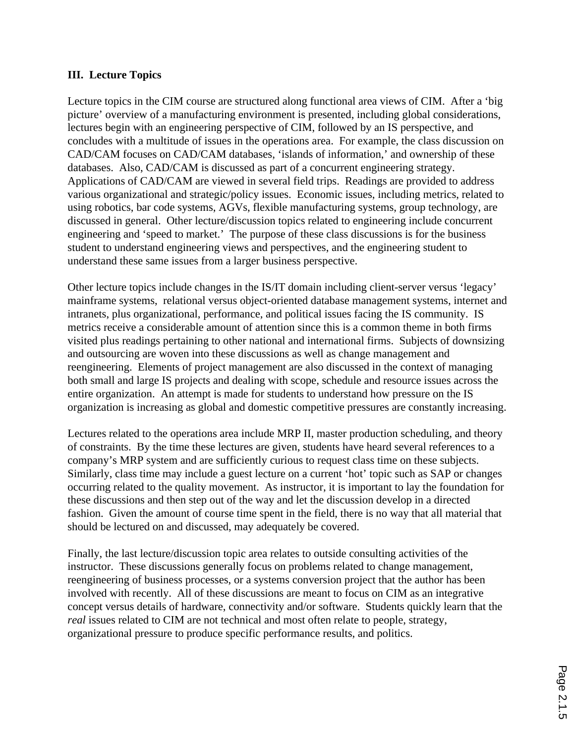## **III. Lecture Topics**

Lecture topics in the CIM course are structured along functional area views of CIM. After a 'big picture' overview of a manufacturing environment is presented, including global considerations, lectures begin with an engineering perspective of CIM, followed by an IS perspective, and concludes with a multitude of issues in the operations area. For example, the class discussion on CAD/CAM focuses on CAD/CAM databases, 'islands of information,' and ownership of these databases. Also, CAD/CAM is discussed as part of a concurrent engineering strategy. Applications of CAD/CAM are viewed in several field trips. Readings are provided to address various organizational and strategic/policy issues. Economic issues, including metrics, related to using robotics, bar code systems, AGVs, flexible manufacturing systems, group technology, are discussed in general. Other lecture/discussion topics related to engineering include concurrent engineering and 'speed to market.' The purpose of these class discussions is for the business student to understand engineering views and perspectives, and the engineering student to understand these same issues from a larger business perspective.

Other lecture topics include changes in the IS/IT domain including client-server versus 'legacy' mainframe systems, relational versus object-oriented database management systems, internet and intranets, plus organizational, performance, and political issues facing the IS community. IS metrics receive a considerable amount of attention since this is a common theme in both firms visited plus readings pertaining to other national and international firms. Subjects of downsizing and outsourcing are woven into these discussions as well as change management and reengineering. Elements of project management are also discussed in the context of managing both small and large IS projects and dealing with scope, schedule and resource issues across the entire organization. An attempt is made for students to understand how pressure on the IS organization is increasing as global and domestic competitive pressures are constantly increasing.

Lectures related to the operations area include MRP II, master production scheduling, and theory of constraints. By the time these lectures are given, students have heard several references to a company's MRP system and are sufficiently curious to request class time on these subjects. Similarly, class time may include a guest lecture on a current 'hot' topic such as SAP or changes occurring related to the quality movement. As instructor, it is important to lay the foundation for these discussions and then step out of the way and let the discussion develop in a directed fashion. Given the amount of course time spent in the field, there is no way that all material that should be lectured on and discussed, may adequately be covered.

Finally, the last lecture/discussion topic area relates to outside consulting activities of the instructor. These discussions generally focus on problems related to change management, reengineering of business processes, or a systems conversion project that the author has been involved with recently. All of these discussions are meant to focus on CIM as an integrative concept versus details of hardware, connectivity and/or software. Students quickly learn that the *real* issues related to CIM are not technical and most often relate to people, strategy, organizational pressure to produce specific performance results, and politics.